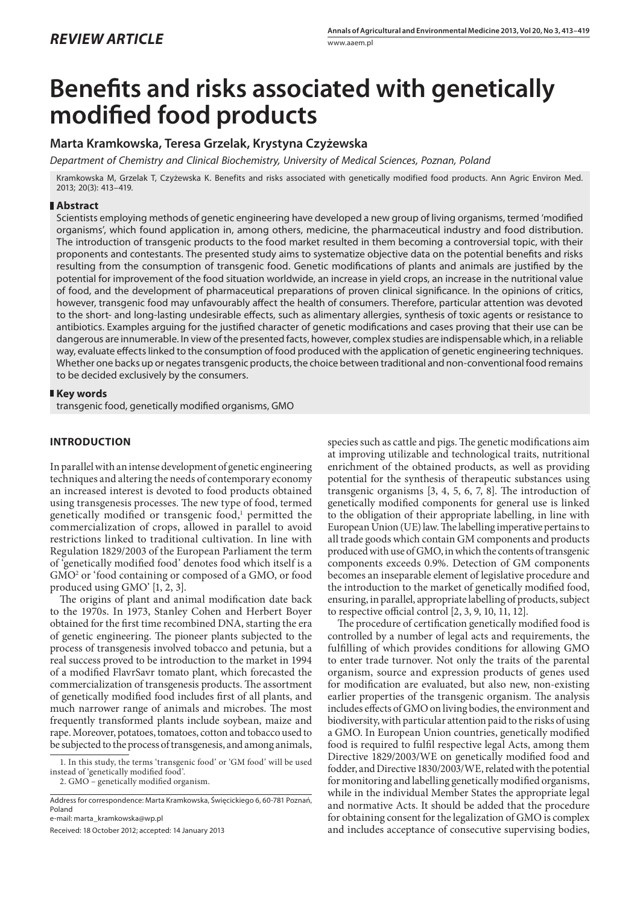# **Benefits and risks associated with genetically modified food products**

# **Marta Kramkowska, Teresa Grzelak, Krystyna Czyżewska**

*Department of Chemistry and Clinical Biochemistry, University of Medical Sciences, Poznan, Poland*

Kramkowska M, Grzelak T, Czyżewska K. Benefits and risks associated with genetically modified food products. Ann Agric Environ Med. 2013; 20(3): 413–419.

## **Abstract**

Scientists employing methods of genetic engineering have developed a new group of living organisms, termed 'modified organisms', which found application in, among others, medicine, the pharmaceutical industry and food distribution. The introduction of transgenic products to the food market resulted in them becoming a controversial topic, with their proponents and contestants. The presented study aims to systematize objective data on the potential benefits and risks resulting from the consumption of transgenic food. Genetic modifications of plants and animals are justified by the potential for improvement of the food situation worldwide, an increase in yield crops, an increase in the nutritional value of food, and the development of pharmaceutical preparations of proven clinical significance. In the opinions of critics, however, transgenic food may unfavourably affect the health of consumers. Therefore, particular attention was devoted to the short- and long-lasting undesirable effects, such as alimentary allergies, synthesis of toxic agents or resistance to antibiotics. Examples arguing for the justified character of genetic modifications and cases proving that their use can be dangerous are innumerable. In view of the presented facts, however, complex studies are indispensable which, in a reliable way, evaluate effects linked to the consumption of food produced with the application of genetic engineering techniques. Whether one backs up or negates transgenic products, the choice between traditional and non-conventional food remains to be decided exclusively by the consumers.

#### **Key words**

transgenic food, genetically modified organisms, GMO

## **INTRODUCTION**

In parallel with an intense development of genetic engineering techniques and altering the needs of contemporary economy an increased interest is devoted to food products obtained using transgenesis processes. The new type of food, termed genetically modified or transgenic food,<sup>1</sup> permitted the commercialization of crops, allowed in parallel to avoid restrictions linked to traditional cultivation. In line with Regulation 1829/2003 of the European Parliament the term of 'genetically modified food' denotes food which itself is a GMO2 or 'food containing or composed of a GMO, or food produced using GMO' [1, 2, 3].

The origins of plant and animal modification date back to the 1970s. In 1973, Stanley Cohen and Herbert Boyer obtained for the first time recombined DNA, starting the era of genetic engineering. The pioneer plants subjected to the process of transgenesis involved tobacco and petunia, but a real success proved to be introduction to the market in 1994 of a modified FlavrSavr tomato plant, which forecasted the commercialization of transgenesis products. The assortment of genetically modified food includes first of all plants, and much narrower range of animals and microbes. The most frequently transformed plants include soybean, maize and rape. Moreover, potatoes, tomatoes, cotton and tobacco used to be subjected to the process of transgenesis, and among animals,

2. GMO – genetically modified organism.

e-mail: marta\_kramkowska@wp.pl

Received: 18 October 2012; accepted: 14 January 2013

species such as cattle and pigs. The genetic modifications aim at improving utilizable and technological traits, nutritional enrichment of the obtained products, as well as providing potential for the synthesis of therapeutic substances using transgenic organisms [3, 4, 5, 6, 7, 8]. The introduction of genetically modified components for general use is linked to the obligation of their appropriate labelling, in line with European Union (UE) law. The labelling imperative pertains to all trade goods which contain GM components and products produced with use of GMO, in which the contents of transgenic components exceeds 0.9%. Detection of GM components becomes an inseparable element of legislative procedure and the introduction to the market of genetically modified food, ensuring, in parallel, appropriate labelling of products, subject to respective official control [2, 3, 9, 10, 11, 12].

The procedure of certification genetically modified food is controlled by a number of legal acts and requirements, the fulfilling of which provides conditions for allowing GMO to enter trade turnover. Not only the traits of the parental organism, source and expression products of genes used for modification are evaluated, but also new, non-existing earlier properties of the transgenic organism. The analysis includes effects of GMO on living bodies, the environment and biodiversity, with particular attention paid to the risks of using a GMO. In European Union countries, genetically modified food is required to fulfil respective legal Acts, among them Directive 1829/2003/WE on genetically modified food and fodder, and Directive 1830/2003/WE, related with the potential for monitoring and labelling genetically modified organisms, while in the individual Member States the appropriate legal and normative Acts. It should be added that the procedure for obtaining consent for the legalization of GMO is complex and includes acceptance of consecutive supervising bodies,

<sup>1.</sup> In this study, the terms 'transgenic food' or 'GM food' will be used instead of 'genetically modified food'.

Address for correspondence: Marta Kramkowska, Święcickiego 6, 60-781 Poznań, Poland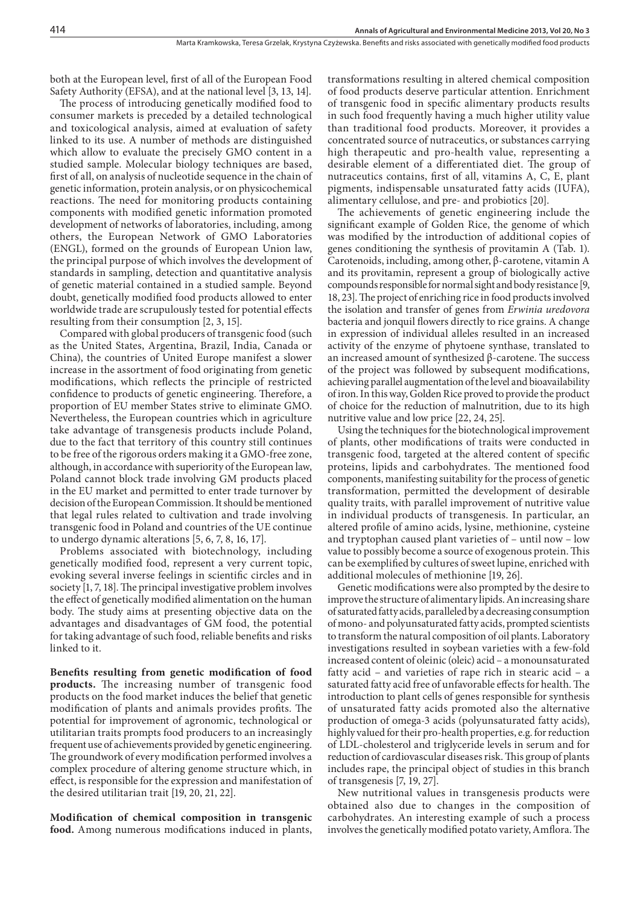both at the European level, first of all of the European Food Safety Authority (EFSA), and at the national level [3, 13, 14].

The process of introducing genetically modified food to consumer markets is preceded by a detailed technological and toxicological analysis, aimed at evaluation of safety linked to its use. A number of methods are distinguished which allow to evaluate the precisely GMO content in a studied sample. Molecular biology techniques are based, first of all, on analysis of nucleotide sequence in the chain of genetic information, protein analysis, or on physicochemical reactions. The need for monitoring products containing components with modified genetic information promoted development of networks of laboratories, including, among others, the European Network of GMO Laboratories (ENGL), formed on the grounds of European Union law, the principal purpose of which involves the development of standards in sampling, detection and quantitative analysis of genetic material contained in a studied sample. Beyond doubt, genetically modified food products allowed to enter worldwide trade are scrupulously tested for potential effects resulting from their consumption [2, 3, 15].

Compared with global producers of transgenic food (such as the United States, Argentina, Brazil, India, Canada or China), the countries of United Europe manifest a slower increase in the assortment of food originating from genetic modifications, which reflects the principle of restricted confidence to products of genetic engineering. Therefore, a proportion of EU member States strive to eliminate GMO. Nevertheless, the European countries which in agriculture take advantage of transgenesis products include Poland, due to the fact that territory of this country still continues to be free of the rigorous orders making it a GMO-free zone, although, in accordance with superiority of the European law, Poland cannot block trade involving GM products placed in the EU market and permitted to enter trade turnover by decision of the European Commission. It should be mentioned that legal rules related to cultivation and trade involving transgenic food in Poland and countries of the UE continue to undergo dynamic alterations [5, 6, 7, 8, 16, 17].

Problems associated with biotechnology, including genetically modified food, represent a very current topic, evoking several inverse feelings in scientific circles and in society [1, 7, 18]. The principal investigative problem involves the effect of genetically modified alimentation on the human body. The study aims at presenting objective data on the advantages and disadvantages of GM food, the potential for taking advantage of such food, reliable benefits and risks linked to it.

**Benefits resulting from genetic modification of food products.** The increasing number of transgenic food products on the food market induces the belief that genetic modification of plants and animals provides profits. The potential for improvement of agronomic, technological or utilitarian traits prompts food producers to an increasingly frequent use of achievements provided by genetic engineering. The groundwork of every modification performed involves a complex procedure of altering genome structure which, in effect, is responsible for the expression and manifestation of the desired utilitarian trait [19, 20, 21, 22].

**Modification of chemical composition in transgenic food.** Among numerous modifications induced in plants,

transformations resulting in altered chemical composition of food products deserve particular attention. Enrichment of transgenic food in specific alimentary products results in such food frequently having a much higher utility value than traditional food products. Moreover, it provides a concentrated source of nutraceutics, or substances carrying high therapeutic and pro-health value, representing a desirable element of a differentiated diet. The group of nutraceutics contains, first of all, vitamins A, C, E, plant pigments, indispensable unsaturated fatty acids (IUFA), alimentary cellulose, and pre- and probiotics [20].

The achievements of genetic engineering include the significant example of Golden Rice, the genome of which was modified by the introduction of additional copies of genes conditioning the synthesis of provitamin A (Tab. 1). Carotenoids, including, among other, β-carotene, vitamin A and its provitamin, represent a group of biologically active compounds responsible for normal sight and body resistance [9, 18, 23]. The project of enriching rice in food products involved the isolation and transfer of genes from *Erwinia uredovora*  bacteria and jonquil flowers directly to rice grains. A change in expression of individual alleles resulted in an increased activity of the enzyme of phytoene synthase, translated to an increased amount of synthesized β-carotene. The success of the project was followed by subsequent modifications, achieving parallel augmentation of the level and bioavailability of iron. In this way, Golden Rice proved to provide the product of choice for the reduction of malnutrition, due to its high nutritive value and low price [22, 24, 25].

Using the techniques for the biotechnological improvement of plants, other modifications of traits were conducted in transgenic food, targeted at the altered content of specific proteins, lipids and carbohydrates. The mentioned food components, manifesting suitability for the process of genetic transformation, permitted the development of desirable quality traits, with parallel improvement of nutritive value in individual products of transgenesis. In particular, an altered profile of amino acids, lysine, methionine, cysteine and tryptophan caused plant varieties of – until now – low value to possibly become a source of exogenous protein. This can be exemplified by cultures of sweet lupine, enriched with additional molecules of methionine [19, 26].

Genetic modifications were also prompted by the desire to improve the structure of alimentary lipids. An increasing share of saturated fatty acids, paralleled by a decreasing consumption of mono- and polyunsaturated fatty acids, prompted scientists to transform the natural composition of oil plants. Laboratory investigations resulted in soybean varieties with a few-fold increased content of oleinic (oleic) acid – a monounsaturated fatty acid – and varieties of rape rich in stearic acid – a saturated fatty acid free of unfavorable effects for health. The introduction to plant cells of genes responsible for synthesis of unsaturated fatty acids promoted also the alternative production of omega-3 acids (polyunsaturated fatty acids), highly valued for their pro-health properties, e.g. for reduction of LDL-cholesterol and triglyceride levels in serum and for reduction of cardiovascular diseases risk. This group of plants includes rape, the principal object of studies in this branch of transgenesis [7, 19, 27].

New nutritional values in transgenesis products were obtained also due to changes in the composition of carbohydrates. An interesting example of such a process involves the genetically modified potato variety, Amflora. The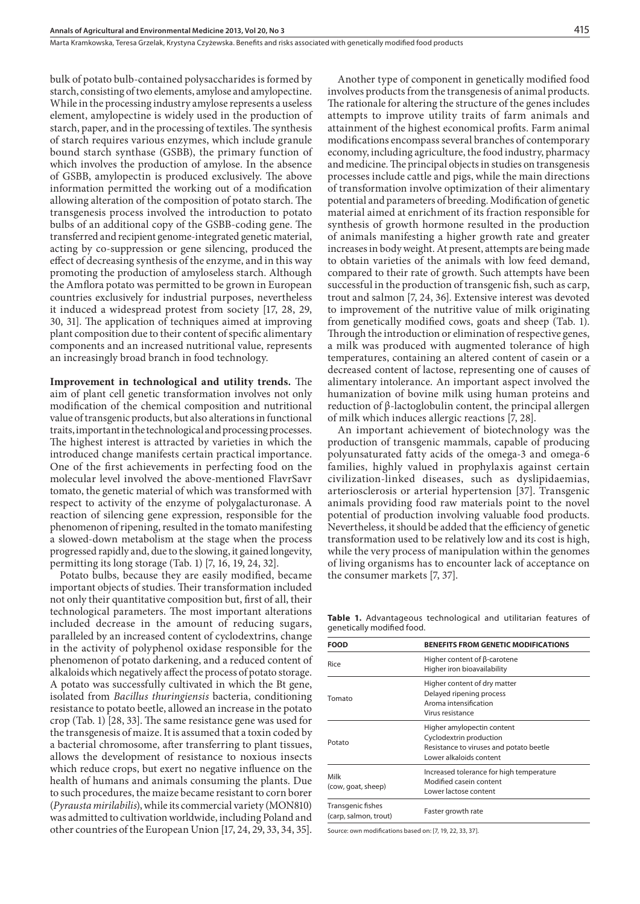bulk of potato bulb-contained polysaccharides is formed by starch, consisting of two elements, amylose and amylopectine. While in the processing industry amylose represents a useless element, amylopectine is widely used in the production of starch, paper, and in the processing of textiles. The synthesis of starch requires various enzymes, which include granule bound starch synthase (GSBB), the primary function of which involves the production of amylose. In the absence of GSBB, amylopectin is produced exclusively. The above information permitted the working out of a modification allowing alteration of the composition of potato starch. The transgenesis process involved the introduction to potato bulbs of an additional copy of the GSBB-coding gene. The transferred and recipient genome-integrated genetic material, acting by co-suppression or gene silencing, produced the effect of decreasing synthesis of the enzyme, and in this way promoting the production of amyloseless starch. Although the Amflora potato was permitted to be grown in European countries exclusively for industrial purposes, nevertheless it induced a widespread protest from society [17, 28, 29, 30, 31]. The application of techniques aimed at improving plant composition due to their content of specific alimentary components and an increased nutritional value, represents an increasingly broad branch in food technology.

**Improvement in technological and utility trends.** The aim of plant cell genetic transformation involves not only modification of the chemical composition and nutritional value of transgenic products, but also alterations in functional traits, important in the technological and processing processes. The highest interest is attracted by varieties in which the introduced change manifests certain practical importance. One of the first achievements in perfecting food on the molecular level involved the above-mentioned FlavrSavr tomato, the genetic material of which was transformed with respect to activity of the enzyme of polygalacturonase. A reaction of silencing gene expression, responsible for the phenomenon of ripening, resulted in the tomato manifesting a slowed-down metabolism at the stage when the process progressed rapidly and, due to the slowing, it gained longevity, permitting its long storage (Tab. 1) [7, 16, 19, 24, 32].

Potato bulbs, because they are easily modified, became important objects of studies. Their transformation included not only their quantitative composition but, first of all, their technological parameters. The most important alterations included decrease in the amount of reducing sugars, paralleled by an increased content of cyclodextrins, change in the activity of polyphenol oxidase responsible for the phenomenon of potato darkening, and a reduced content of alkaloids which negatively affect the process of potato storage. A potato was successfully cultivated in which the Bt gene, isolated from *Bacillus thuringiensis* bacteria, conditioning resistance to potato beetle, allowed an increase in the potato crop (Tab. 1) [28, 33]. The same resistance gene was used for the transgenesis of maize. It is assumed that a toxin coded by a bacterial chromosome, after transferring to plant tissues, allows the development of resistance to noxious insects which reduce crops, but exert no negative influence on the health of humans and animals consuming the plants. Due to such procedures, the maize became resistant to corn borer (*Pyrausta mirilabilis*), while its commercial variety (MON810) was admitted to cultivation worldwide, including Poland and other countries of the European Union [17, 24, 29, 33, 34, 35].

Another type of component in genetically modified food involves products from the transgenesis of animal products. The rationale for altering the structure of the genes includes attempts to improve utility traits of farm animals and attainment of the highest economical profits. Farm animal modifications encompass several branches of contemporary economy, including agriculture, the food industry, pharmacy and medicine. The principal objects in studies on transgenesis processes include cattle and pigs, while the main directions of transformation involve optimization of their alimentary potential and parameters of breeding. Modification of genetic material aimed at enrichment of its fraction responsible for synthesis of growth hormone resulted in the production of animals manifesting a higher growth rate and greater increases in body weight. At present, attempts are being made to obtain varieties of the animals with low feed demand, compared to their rate of growth. Such attempts have been successful in the production of transgenic fish, such as carp, trout and salmon [7, 24, 36]. Extensive interest was devoted to improvement of the nutritive value of milk originating from genetically modified cows, goats and sheep (Tab. 1). Through the introduction or elimination of respective genes, a milk was produced with augmented tolerance of high temperatures, containing an altered content of casein or a decreased content of lactose, representing one of causes of alimentary intolerance. An important aspect involved the humanization of bovine milk using human proteins and reduction of β-lactoglobulin content, the principal allergen of milk which induces allergic reactions [7, 28].

An important achievement of biotechnology was the production of transgenic mammals, capable of producing polyunsaturated fatty acids of the omega-3 and omega-6 families, highly valued in prophylaxis against certain civilization-linked diseases, such as dyslipidaemias, arteriosclerosis or arterial hypertension [37]. Transgenic animals providing food raw materials point to the novel potential of production involving valuable food products. Nevertheless, it should be added that the efficiency of genetic transformation used to be relatively low and its cost is high, while the very process of manipulation within the genomes of living organisms has to encounter lack of acceptance on the consumer markets [7, 37].

**Table 1.** Advantageous technological and utilitarian features of genetically modified food.

| <b>FOOD</b>                                | <b>BENEFITS FROM GENETIC MODIFICATIONS</b>                                                                                  |  |  |  |  |
|--------------------------------------------|-----------------------------------------------------------------------------------------------------------------------------|--|--|--|--|
| Rice                                       | Higher content of $\beta$ -carotene<br>Higher iron bioavailability                                                          |  |  |  |  |
| Tomato                                     | Higher content of dry matter<br>Delayed ripening process<br>Aroma intensification<br>Virus resistance                       |  |  |  |  |
| Potato                                     | Higher amylopectin content<br>Cyclodextrin production<br>Resistance to viruses and potato beetle<br>Lower alkaloids content |  |  |  |  |
| Milk<br>(cow, goat, sheep)                 | Increased tolerance for high temperature<br>Modified casein content<br>Lower lactose content                                |  |  |  |  |
| Transgenic fishes<br>(carp, salmon, trout) | Faster growth rate                                                                                                          |  |  |  |  |
|                                            |                                                                                                                             |  |  |  |  |

Source: own modifications based on: [7, 19, 22, 33, 37].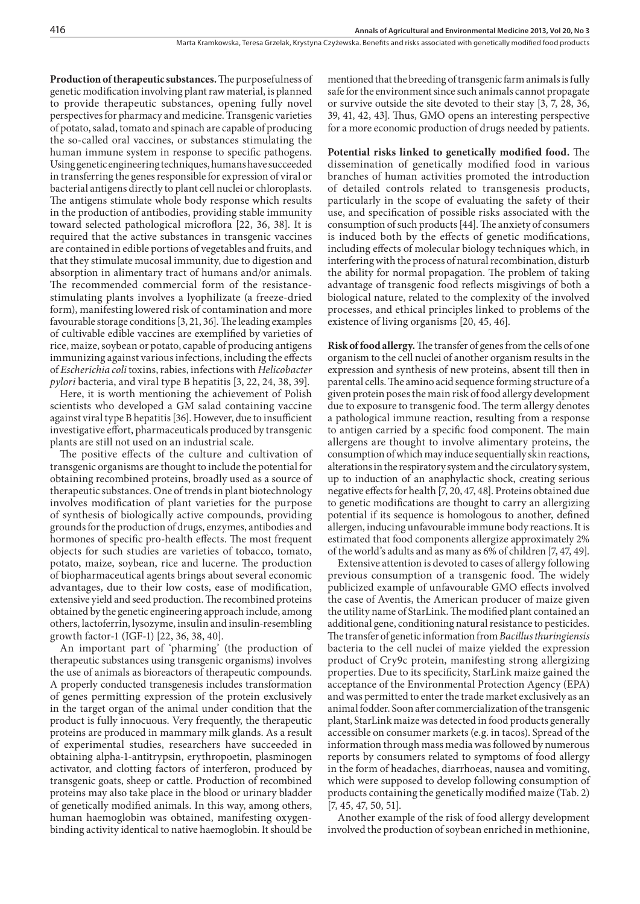**Production of therapeutic substances.** The purposefulness of genetic modification involving plant raw material, is planned to provide therapeutic substances, opening fully novel perspectives for pharmacy and medicine. Transgenic varieties of potato, salad, tomato and spinach are capable of producing the so-called oral vaccines, or substances stimulating the human immune system in response to specific pathogens. Using genetic engineering techniques, humans have succeeded in transferring the genes responsible for expression of viral or bacterial antigens directly to plant cell nuclei or chloroplasts. The antigens stimulate whole body response which results in the production of antibodies, providing stable immunity toward selected pathological microflora [22, 36, 38]. It is required that the active substances in transgenic vaccines are contained in edible portions of vegetables and fruits, and that they stimulate mucosal immunity, due to digestion and absorption in alimentary tract of humans and/or animals. The recommended commercial form of the resistancestimulating plants involves a lyophilizate (a freeze-dried form), manifesting lowered risk of contamination and more favourable storage conditions [3, 21, 36]. The leading examples of cultivable edible vaccines are exemplified by varieties of rice, maize, soybean or potato, capable of producing antigens immunizing against various infections, including the effects of *Escherichia coli* toxins, rabies, infections with *Helicobacter pylori* bacteria, and viral type B hepatitis [3, 22, 24, 38, 39].

Here, it is worth mentioning the achievement of Polish scientists who developed a GM salad containing vaccine against viral type B hepatitis [36]. However, due to insufficient investigative effort, pharmaceuticals produced by transgenic plants are still not used on an industrial scale.

The positive effects of the culture and cultivation of transgenic organisms are thought to include the potential for obtaining recombined proteins, broadly used as a source of therapeutic substances. One of trends in plant biotechnology involves modification of plant varieties for the purpose of synthesis of biologically active compounds, providing grounds for the production of drugs, enzymes, antibodies and hormones of specific pro-health effects. The most frequent objects for such studies are varieties of tobacco, tomato, potato, maize, soybean, rice and lucerne. The production of biopharmaceutical agents brings about several economic advantages, due to their low costs, ease of modification, extensive yield and seed production. The recombined proteins obtained by the genetic engineering approach include, among others, lactoferrin, lysozyme, insulin and insulin-resembling growth factor-1 (IGF-1) [22, 36, 38, 40].

An important part of 'pharming' (the production of therapeutic substances using transgenic organisms) involves the use of animals as bioreactors of therapeutic compounds. A properly conducted transgenesis includes transformation of genes permitting expression of the protein exclusively in the target organ of the animal under condition that the product is fully innocuous. Very frequently, the therapeutic proteins are produced in mammary milk glands. As a result of experimental studies, researchers have succeeded in obtaining alpha-1-antitrypsin, erythropoetin, plasminogen activator, and clotting factors of interferon, produced by transgenic goats, sheep or cattle. Production of recombined proteins may also take place in the blood or urinary bladder of genetically modified animals. In this way, among others, human haemoglobin was obtained, manifesting oxygenbinding activity identical to native haemoglobin. It should be

mentioned that the breeding of transgenic farm animals is fully safe for the environment since such animals cannot propagate or survive outside the site devoted to their stay [3, 7, 28, 36, 39, 41, 42, 43]. Thus, GMO opens an interesting perspective for a more economic production of drugs needed by patients.

**Potential risks linked to genetically modified food.** The dissemination of genetically modified food in various branches of human activities promoted the introduction of detailed controls related to transgenesis products, particularly in the scope of evaluating the safety of their use, and specification of possible risks associated with the consumption of such products [44]. The anxiety of consumers is induced both by the effects of genetic modifications, including effects of molecular biology techniques which, in interfering with the process of natural recombination, disturb the ability for normal propagation. The problem of taking advantage of transgenic food reflects misgivings of both a biological nature, related to the complexity of the involved processes, and ethical principles linked to problems of the existence of living organisms [20, 45, 46].

**Risk of food allergy.** The transfer of genes from the cells of one organism to the cell nuclei of another organism results in the expression and synthesis of new proteins, absent till then in parental cells. The amino acid sequence forming structure of a given protein poses the main risk of food allergy development due to exposure to transgenic food. The term allergy denotes a pathological immune reaction, resulting from a response to antigen carried by a specific food component. The main allergens are thought to involve alimentary proteins, the consumption of which may induce sequentially skin reactions, alterations in the respiratory system and the circulatory system, up to induction of an anaphylactic shock, creating serious negative effects for health [7, 20, 47, 48]. Proteins obtained due to genetic modifications are thought to carry an allergizing potential if its sequence is homologous to another, defined allergen, inducing unfavourable immune body reactions. It is estimated that food components allergize approximately 2% of the world's adults and as many as 6% of children [7, 47, 49].

Extensive attention is devoted to cases of allergy following previous consumption of a transgenic food. The widely publicized example of unfavourable GMO effects involved the case of Aventis, the American producer of maize given the utility name of StarLink. The modified plant contained an additional gene, conditioning natural resistance to pesticides. The transfer of genetic information from *Bacillus thuringiensis* bacteria to the cell nuclei of maize yielded the expression product of Cry9c protein, manifesting strong allergizing properties. Due to its specificity, StarLink maize gained the acceptance of the Environmental Protection Agency (EPA) and was permitted to enter the trade market exclusively as an animal fodder. Soon after commercialization of the transgenic plant, StarLink maize was detected in food products generally accessible on consumer markets (e.g. in tacos). Spread of the information through mass media was followed by numerous reports by consumers related to symptoms of food allergy in the form of headaches, diarrhoeas, nausea and vomiting, which were supposed to develop following consumption of products containing the genetically modified maize (Tab. 2) [7, 45, 47, 50, 51].

Another example of the risk of food allergy development involved the production of soybean enriched in methionine,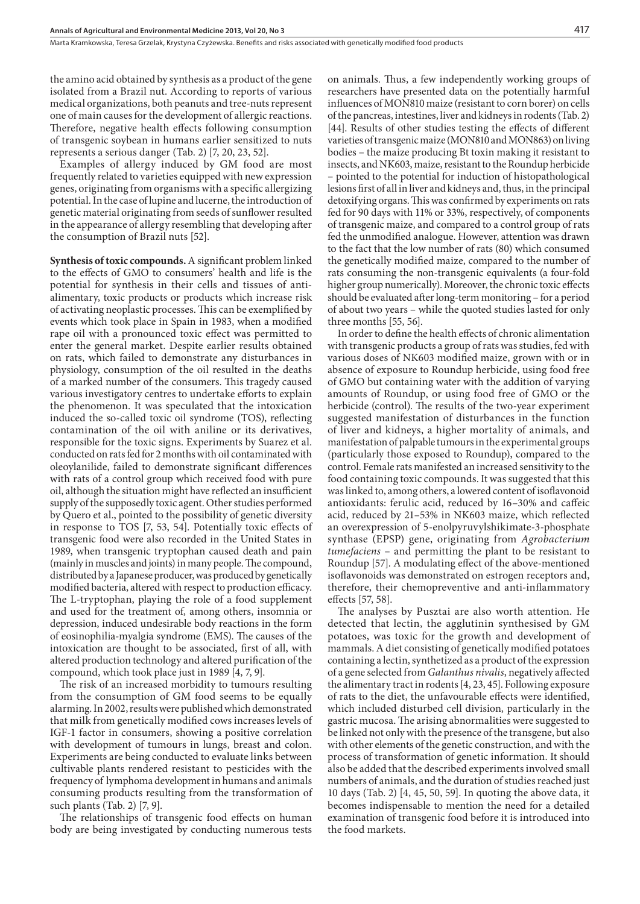the amino acid obtained by synthesis as a product of the gene isolated from a Brazil nut. According to reports of various medical organizations, both peanuts and tree-nuts represent one of main causes for the development of allergic reactions. Therefore, negative health effects following consumption of transgenic soybean in humans earlier sensitized to nuts represents a serious danger (Tab. 2) [7, 20, 23, 52].

Examples of allergy induced by GM food are most frequently related to varieties equipped with new expression genes, originating from organisms with a specific allergizing potential. In the case of lupine and lucerne, the introduction of genetic material originating from seeds of sunflower resulted in the appearance of allergy resembling that developing after the consumption of Brazil nuts [52].

**Synthesis of toxic compounds.** A significant problem linked to the effects of GMO to consumers' health and life is the potential for synthesis in their cells and tissues of antialimentary, toxic products or products which increase risk of activating neoplastic processes. This can be exemplified by events which took place in Spain in 1983, when a modified rape oil with a pronounced toxic effect was permitted to enter the general market. Despite earlier results obtained on rats, which failed to demonstrate any disturbances in physiology, consumption of the oil resulted in the deaths of a marked number of the consumers. This tragedy caused various investigatory centres to undertake efforts to explain the phenomenon. It was speculated that the intoxication induced the so-called toxic oil syndrome (TOS), reflecting contamination of the oil with aniline or its derivatives, responsible for the toxic signs. Experiments by Suarez et al. conducted on rats fed for 2 months with oil contaminated with oleoylanilide, failed to demonstrate significant differences with rats of a control group which received food with pure oil, although the situation might have reflected an insufficient supply of the supposedly toxic agent. Other studies performed by Quero et al., pointed to the possibility of genetic diversity in response to TOS [7, 53, 54]. Potentially toxic effects of transgenic food were also recorded in the United States in 1989, when transgenic tryptophan caused death and pain (mainly in muscles and joints) in many people. The compound, distributed by a Japanese producer, was produced by genetically modified bacteria, altered with respect to production efficacy. The L-tryptophan, playing the role of a food supplement and used for the treatment of, among others, insomnia or depression, induced undesirable body reactions in the form of eosinophilia-myalgia syndrome (EMS). The causes of the intoxication are thought to be associated, first of all, with altered production technology and altered purification of the compound, which took place just in 1989 [4, 7, 9].

The risk of an increased morbidity to tumours resulting from the consumption of GM food seems to be equally alarming. In 2002, results were published which demonstrated that milk from genetically modified cows increases levels of IGF-1 factor in consumers, showing a positive correlation with development of tumours in lungs, breast and colon. Experiments are being conducted to evaluate links between cultivable plants rendered resistant to pesticides with the frequency of lymphoma development in humans and animals consuming products resulting from the transformation of such plants (Tab. 2) [7, 9].

The relationships of transgenic food effects on human body are being investigated by conducting numerous tests on animals. Thus, a few independently working groups of researchers have presented data on the potentially harmful influences of MON810 maize (resistant to corn borer) on cells of the pancreas, intestines, liver and kidneys in rodents (Tab. 2) [44]. Results of other studies testing the effects of different varieties of transgenic maize (MON810 and MON863) on living bodies – the maize producing Bt toxin making it resistant to insects, and NK603, maize, resistant to the Roundup herbicide – pointed to the potential for induction of histopathological lesions first of all in liver and kidneys and, thus, in the principal detoxifying organs. This was confirmed by experiments on rats fed for 90 days with 11% or 33%, respectively, of components of transgenic maize, and compared to a control group of rats fed the unmodified analogue. However, attention was drawn to the fact that the low number of rats (80) which consumed the genetically modified maize, compared to the number of rats consuming the non-transgenic equivalents (a four-fold higher group numerically). Moreover, the chronic toxic effects should be evaluated after long-term monitoring – for a period of about two years – while the quoted studies lasted for only three months [55, 56].

In order to define the health effects of chronic alimentation with transgenic products a group of rats was studies, fed with various doses of NK603 modified maize, grown with or in absence of exposure to Roundup herbicide, using food free of GMO but containing water with the addition of varying amounts of Roundup, or using food free of GMO or the herbicide (control). The results of the two-year experiment suggested manifestation of disturbances in the function of liver and kidneys, a higher mortality of animals, and manifestation of palpable tumours in the experimental groups (particularly those exposed to Roundup), compared to the control. Female rats manifested an increased sensitivity to the food containing toxic compounds. It was suggested that this was linked to, among others, a lowered content of isoflavonoid antioxidants: ferulic acid, reduced by 16–30% and caffeic acid, reduced by 21–53% in NK603 maize, which reflected an overexpression of 5-enolpyruvylshikimate-3-phosphate synthase (EPSP) gene, originating from *Agrobacterium tumefaciens* – and permitting the plant to be resistant to Roundup [57]. A modulating effect of the above-mentioned isoflavonoids was demonstrated on estrogen receptors and, therefore, their chemopreventive and anti-inflammatory effects [57, 58].

The analyses by Pusztai are also worth attention. He detected that lectin, the agglutinin synthesised by GM potatoes, was toxic for the growth and development of mammals. A diet consisting of genetically modified potatoes containing a lectin, synthetized as a product of the expression of a gene selected from *Galanthus nivalis*, negatively affected the alimentary tract in rodents [4, 23, 45]. Following exposure of rats to the diet, the unfavourable effects were identified, which included disturbed cell division, particularly in the gastric mucosa. The arising abnormalities were suggested to be linked not only with the presence of the transgene, but also with other elements of the genetic construction, and with the process of transformation of genetic information. It should also be added that the described experiments involved small numbers of animals, and the duration of studies reached just 10 days (Tab. 2) [4, 45, 50, 59]. In quoting the above data, it becomes indispensable to mention the need for a detailed examination of transgenic food before it is introduced into the food markets.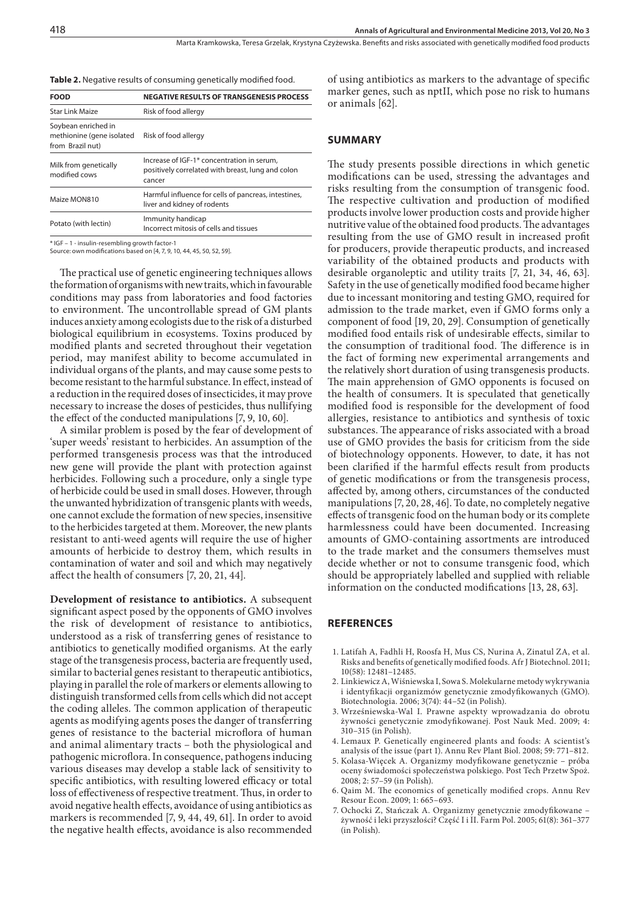Marta Kramkowska, Teresa Grzelak, Krystyna Czyżewska . Benefits and risks associated with genetically modified food products

|  |  |  |  |  |  | <b>Table 2.</b> Negative results of consuming genetically modified food. |  |  |  |
|--|--|--|--|--|--|--------------------------------------------------------------------------|--|--|--|
|--|--|--|--|--|--|--------------------------------------------------------------------------|--|--|--|

| <b>FOOD</b>                                                          | <b>NEGATIVE RESULTS OF TRANSGENESIS PROCESS</b>                                                           |  |  |  |
|----------------------------------------------------------------------|-----------------------------------------------------------------------------------------------------------|--|--|--|
| <b>Star Link Maize</b>                                               | Risk of food allergy                                                                                      |  |  |  |
| Soybean enriched in<br>methionine (gene isolated<br>from Brazil nut) | Risk of food allergy                                                                                      |  |  |  |
| Milk from genetically<br>modified cows                               | Increase of IGF-1* concentration in serum,<br>positively correlated with breast, lung and colon<br>cancer |  |  |  |
| Maize MON810                                                         | Harmful influence for cells of pancreas, intestines,<br>liver and kidney of rodents                       |  |  |  |
| Potato (with lectin)                                                 | Immunity handicap<br>Incorrect mitosis of cells and tissues                                               |  |  |  |

\* IGF – 1 - insulin-resembling growth factor-1

Source: own modifications based on [4, 7, 9, 10, 44, 45, 50, 52, 59].

The practical use of genetic engineering techniques allows the formation of organisms with new traits, which in favourable conditions may pass from laboratories and food factories to environment. The uncontrollable spread of GM plants induces anxiety among ecologists due to the risk of a disturbed biological equilibrium in ecosystems. Toxins produced by modified plants and secreted throughout their vegetation period, may manifest ability to become accumulated in individual organs of the plants, and may cause some pests to become resistant to the harmful substance. In effect, instead of a reduction in the required doses of insecticides, it may prove necessary to increase the doses of pesticides, thus nullifying the effect of the conducted manipulations [7, 9, 10, 60].

A similar problem is posed by the fear of development of 'super weeds' resistant to herbicides. An assumption of the performed transgenesis process was that the introduced new gene will provide the plant with protection against herbicides. Following such a procedure, only a single type of herbicide could be used in small doses. However, through the unwanted hybridization of transgenic plants with weeds, one cannot exclude the formation of new species, insensitive to the herbicides targeted at them. Moreover, the new plants resistant to anti-weed agents will require the use of higher amounts of herbicide to destroy them, which results in contamination of water and soil and which may negatively affect the health of consumers [7, 20, 21, 44].

**Development of resistance to antibiotics.** A subsequent significant aspect posed by the opponents of GMO involves the risk of development of resistance to antibiotics, understood as a risk of transferring genes of resistance to antibiotics to genetically modified organisms. At the early stage of the transgenesis process, bacteria are frequently used, similar to bacterial genes resistant to therapeutic antibiotics, playing in parallel the role of markers or elements allowing to distinguish transformed cells from cells which did not accept the coding alleles. The common application of therapeutic agents as modifying agents poses the danger of transferring genes of resistance to the bacterial microflora of human and animal alimentary tracts – both the physiological and pathogenic microflora. In consequence, pathogens inducing various diseases may develop a stable lack of sensitivity to specific antibiotics, with resulting lowered efficacy or total loss of effectiveness of respective treatment. Thus, in order to avoid negative health effects, avoidance of using antibiotics as markers is recommended [7, 9, 44, 49, 61]. In order to avoid the negative health effects, avoidance is also recommended

of using antibiotics as markers to the advantage of specific marker genes, such as nptII, which pose no risk to humans or animals [62].

#### **SUMMARY**

The study presents possible directions in which genetic modifications can be used, stressing the advantages and risks resulting from the consumption of transgenic food. The respective cultivation and production of modified products involve lower production costs and provide higher nutritive value of the obtained food products. The advantages resulting from the use of GMO result in increased profit for producers, provide therapeutic products, and increased variability of the obtained products and products with desirable organoleptic and utility traits [7, 21, 34, 46, 63]. Safety in the use of genetically modified food became higher due to incessant monitoring and testing GMO, required for admission to the trade market, even if GMO forms only a component of food [19, 20, 29]. Consumption of genetically modified food entails risk of undesirable effects, similar to the consumption of traditional food. The difference is in the fact of forming new experimental arrangements and the relatively short duration of using transgenesis products. The main apprehension of GMO opponents is focused on the health of consumers. It is speculated that genetically modified food is responsible for the development of food allergies, resistance to antibiotics and synthesis of toxic substances. The appearance of risks associated with a broad use of GMO provides the basis for criticism from the side of biotechnology opponents. However, to date, it has not been clarified if the harmful effects result from products of genetic modifications or from the transgenesis process, affected by, among others, circumstances of the conducted manipulations [7, 20, 28, 46]. To date, no completely negative effects of transgenic food on the human body or its complete harmlessness could have been documented. Increasing amounts of GMO-containing assortments are introduced to the trade market and the consumers themselves must decide whether or not to consume transgenic food, which should be appropriately labelled and supplied with reliable information on the conducted modifications [13, 28, 63].

## **REFERENCES**

- 1. Latifah A, Fadhli H, Roosfa H, Mus CS, Nurina A, Zinatul ZA, et al. Risks and benefits of genetically modified foods. Afr J Biotechnol. 2011; 10(58): 12481–12485.
- 2. Linkiewicz A, Wiśniewska I, Sowa S. Molekularne metody wykrywania i identyfikacji organizmów genetycznie zmodyfikowanych (GMO). Biotechnologia. 2006; 3(74): 44–52 (in Polish).
- 3. Wrześniewska-Wal I. Prawne aspekty wprowadzania do obrotu żywności genetycznie zmodyfikowanej. Post Nauk Med. 2009; 4: 310–315 (in Polish).
- 4. Lemaux P. Genetically engineered plants and foods: A scientist's analysis of the issue (part 1). Annu Rev Plant Biol. 2008; 59: 771–812.
- 5. Kolasa-Więcek A. Organizmy modyfikowane genetycznie próba oceny świadomości społeczeństwa polskiego. Post Tech Przetw Spoż. 2008; 2: 57–59 (in Polish).
- 6. Qaim M. The economics of genetically modified crops. Annu Rev Resour Econ. 2009; 1: 665–693.
- 7. Ochocki Z, Stańczak A. Organizmy genetycznie zmodyfikowane żywność i leki przyszłości? Część I i II. Farm Pol. 2005; 61(8): 361–377 (in Polish).